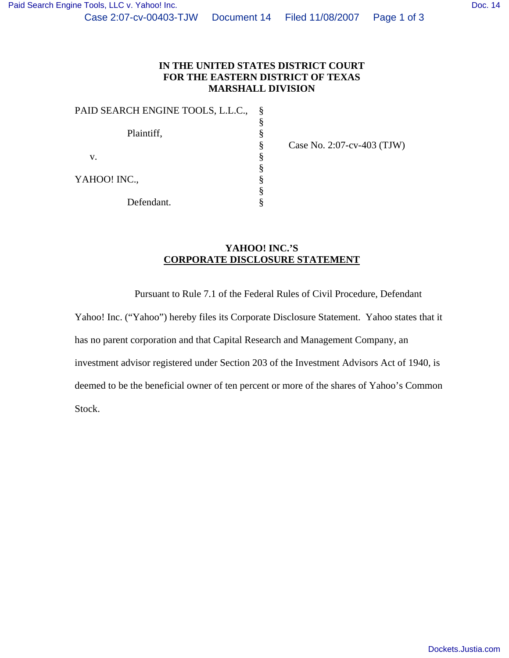| PAID SEARCH ENGINE TOOLS, L.L.C., |  |
|-----------------------------------|--|
|                                   |  |
| Plaintiff,                        |  |
|                                   |  |
| v.                                |  |
|                                   |  |
| YAHOO! INC.,                      |  |
|                                   |  |
| Defendant.                        |  |

Case No. 2:07-cv-403 (TJW)

## **YAHOO! INC.'S CORPORATE DISCLOSURE STATEMENT**

Pursuant to Rule 7.1 of the Federal Rules of Civil Procedure, Defendant

Yahoo! Inc. ("Yahoo") hereby files its Corporate Disclosure Statement. Yahoo states that it has no parent corporation and that Capital Research and Management Company, an investment advisor registered under Section 203 of the Investment Advisors Act of 1940, is deemed to be the beneficial owner of ten percent or more of the shares of Yahoo's Common Stock.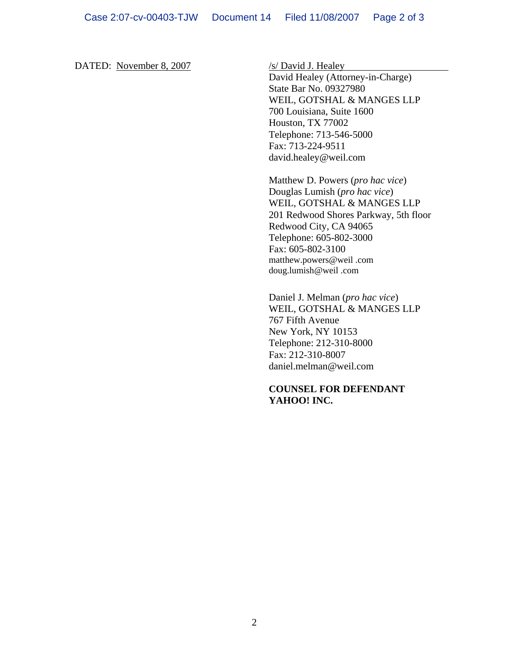DATED: November 8, 2007 /s/ David J. Healey

David Healey (Attorney-in-Charge) State Bar No. 09327980 WEIL, GOTSHAL & MANGES LLP 700 Louisiana, Suite 1600 Houston, TX 77002 Telephone: 713-546-5000 Fax: 713-224-9511 david.healey@weil.com

Matthew D. Powers (*pro hac vice*) Douglas Lumish (*pro hac vice*) WEIL, GOTSHAL & MANGES LLP 201 Redwood Shores Parkway, 5th floor Redwood City, CA 94065 Telephone: 605-802-3000 Fax: 605-802-3100 matthew.powers@weil .com doug.lumish@weil .com

Daniel J. Melman (*pro hac vice*) WEIL, GOTSHAL & MANGES LLP 767 Fifth Avenue New York, NY 10153 Telephone: 212-310-8000 Fax: 212-310-8007 daniel.melman@weil.com

## **COUNSEL FOR DEFENDANT YAHOO! INC.**